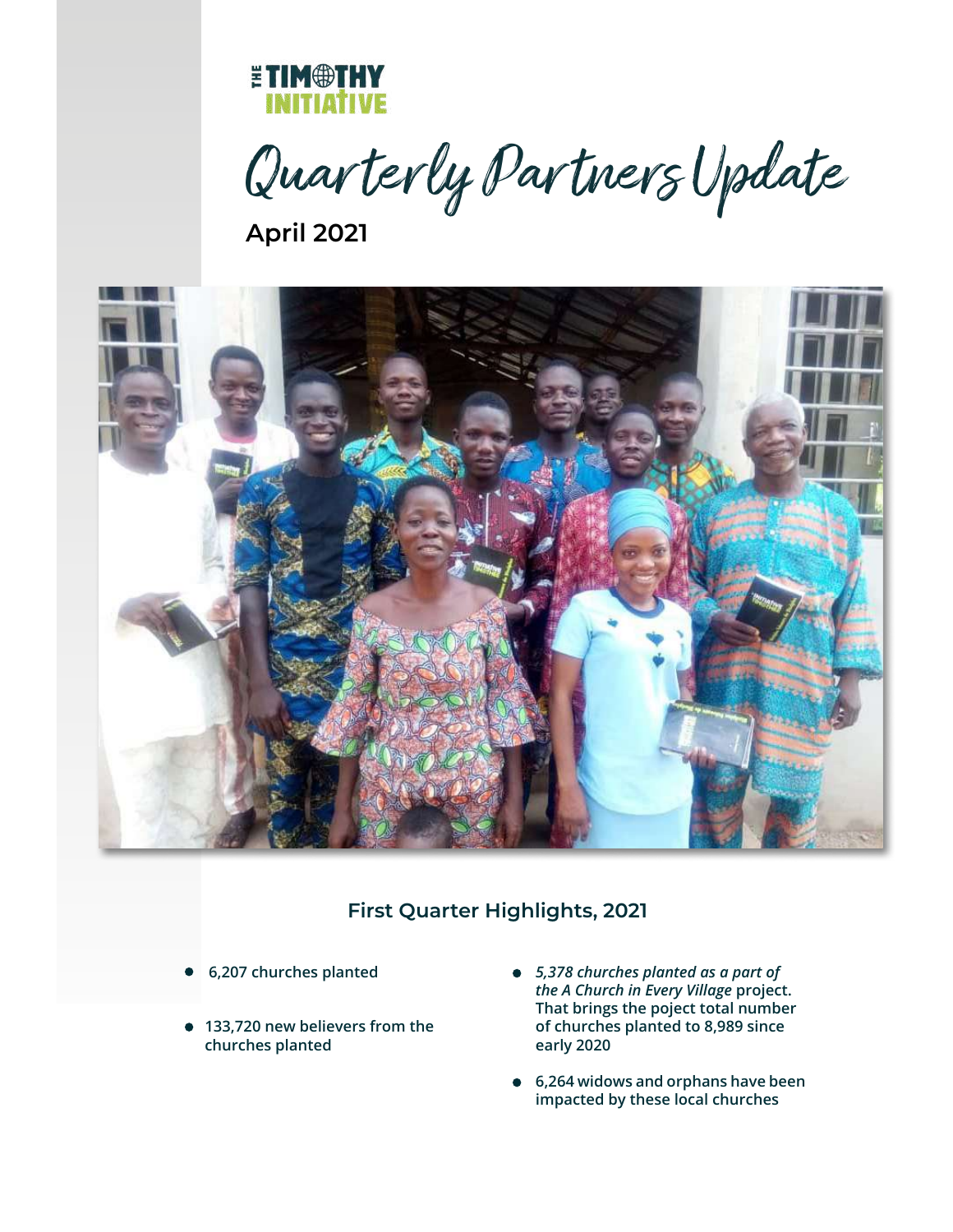

Quar terly Par tners Update

**April 2021**



## **First Quarter Highlights, 2021**

- **6,207 churches planted**  $\bullet$
- **133,720 new believers from the churches planted**
- *5,378 churches planted as a part of the A Church in Every Village* **project. That brings the poject total number of churches planted to 8,989 since early 2020**
- **6,264 widows and orphans have been impacted by these local churches**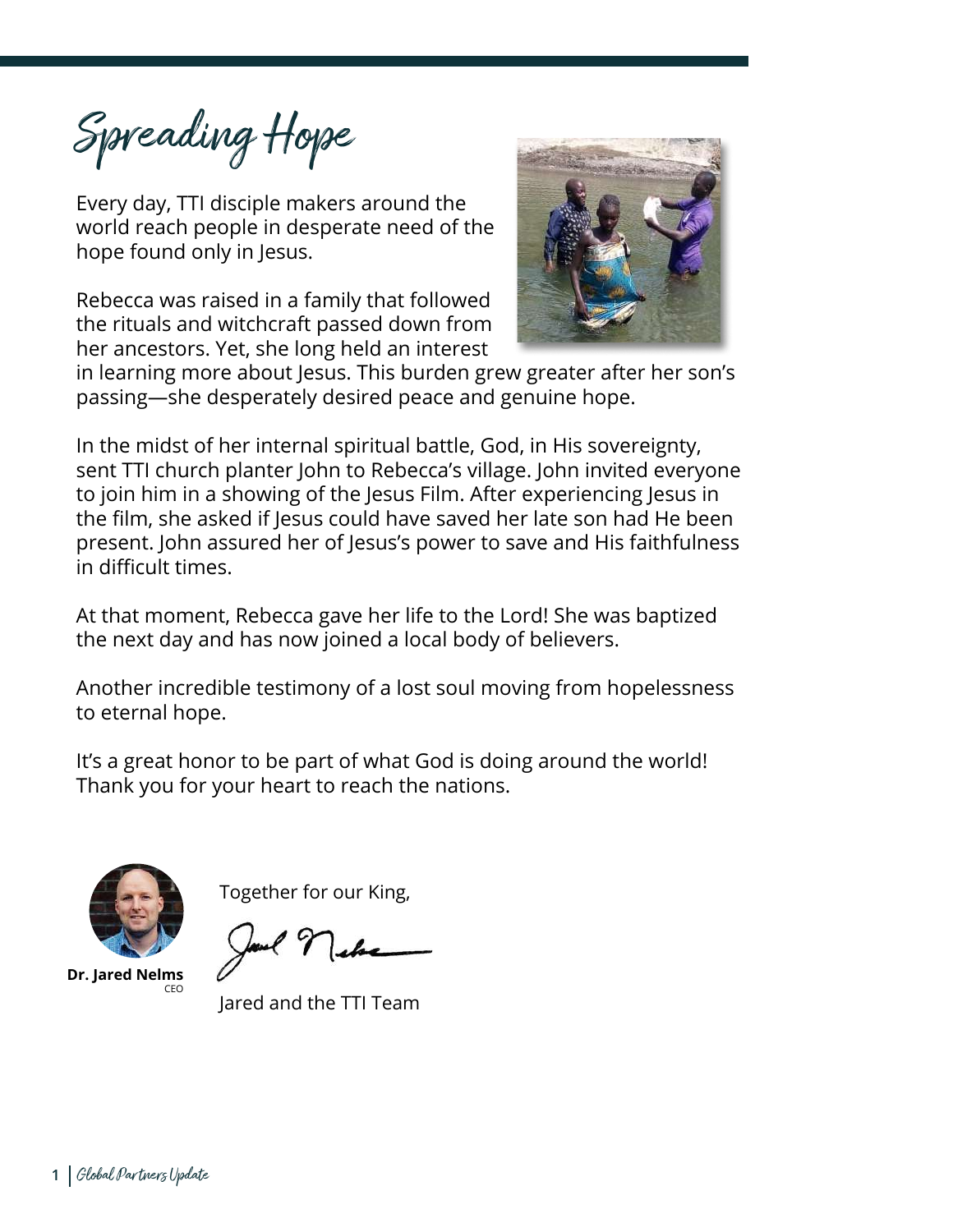Spreading Hope

Every day, TTI disciple makers around the world reach people in desperate need of the hope found only in Jesus.

Rebecca was raised in a family that followed the rituals and witchcraft passed down from her ancestors. Yet, she long held an interest



in learning more about Jesus. This burden grew greater after her son's passing—she desperately desired peace and genuine hope.

In the midst of her internal spiritual battle, God, in His sovereignty, sent TTI church planter John to Rebecca's village. John invited everyone to join him in a showing of the Jesus Film. After experiencing Jesus in the film, she asked if Jesus could have saved her late son had He been present. John assured her of Jesus's power to save and His faithfulness in difficult times.

At that moment, Rebecca gave her life to the Lord! She was baptized the next day and has now joined a local body of believers.

Another incredible testimony of a lost soul moving from hopelessness to eternal hope.

It's a great honor to be part of what God is doing around the world! Thank you for your heart to reach the nations.



Together for our King,

Ì

**Dr. Jared Nelms** CEO

Jared and the TTI Team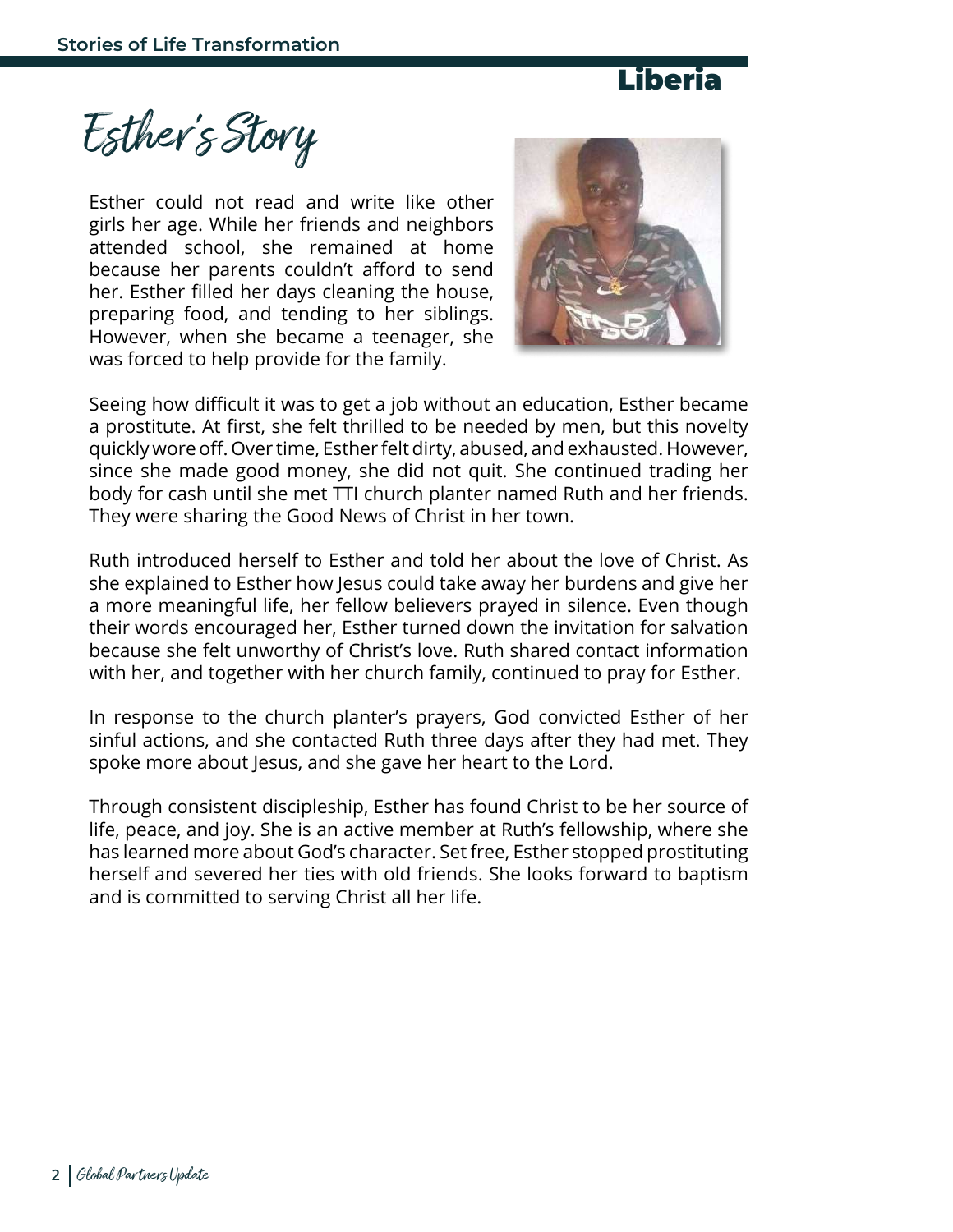

Esther's Story

Esther could not read and write like other girls her age. While her friends and neighbors attended school, she remained at home because her parents couldn't afford to send her. Esther filled her days cleaning the house, preparing food, and tending to her siblings. However, when she became a teenager, she was forced to help provide for the family.



Seeing how difficult it was to get a job without an education, Esther became a prostitute. At first, she felt thrilled to be needed by men, but this novelty quickly wore off. Over time, Esther felt dirty, abused, and exhausted. However, since she made good money, she did not quit. She continued trading her body for cash until she met TTI church planter named Ruth and her friends. They were sharing the Good News of Christ in her town.

Ruth introduced herself to Esther and told her about the love of Christ. As she explained to Esther how Jesus could take away her burdens and give her a more meaningful life, her fellow believers prayed in silence. Even though their words encouraged her, Esther turned down the invitation for salvation because she felt unworthy of Christ's love. Ruth shared contact information with her, and together with her church family, continued to pray for Esther.

In response to the church planter's prayers, God convicted Esther of her sinful actions, and she contacted Ruth three days after they had met. They spoke more about Jesus, and she gave her heart to the Lord.

Through consistent discipleship, Esther has found Christ to be her source of life, peace, and joy. She is an active member at Ruth's fellowship, where she has learned more about God's character. Set free, Esther stopped prostituting herself and severed her ties with old friends. She looks forward to baptism and is committed to serving Christ all her life.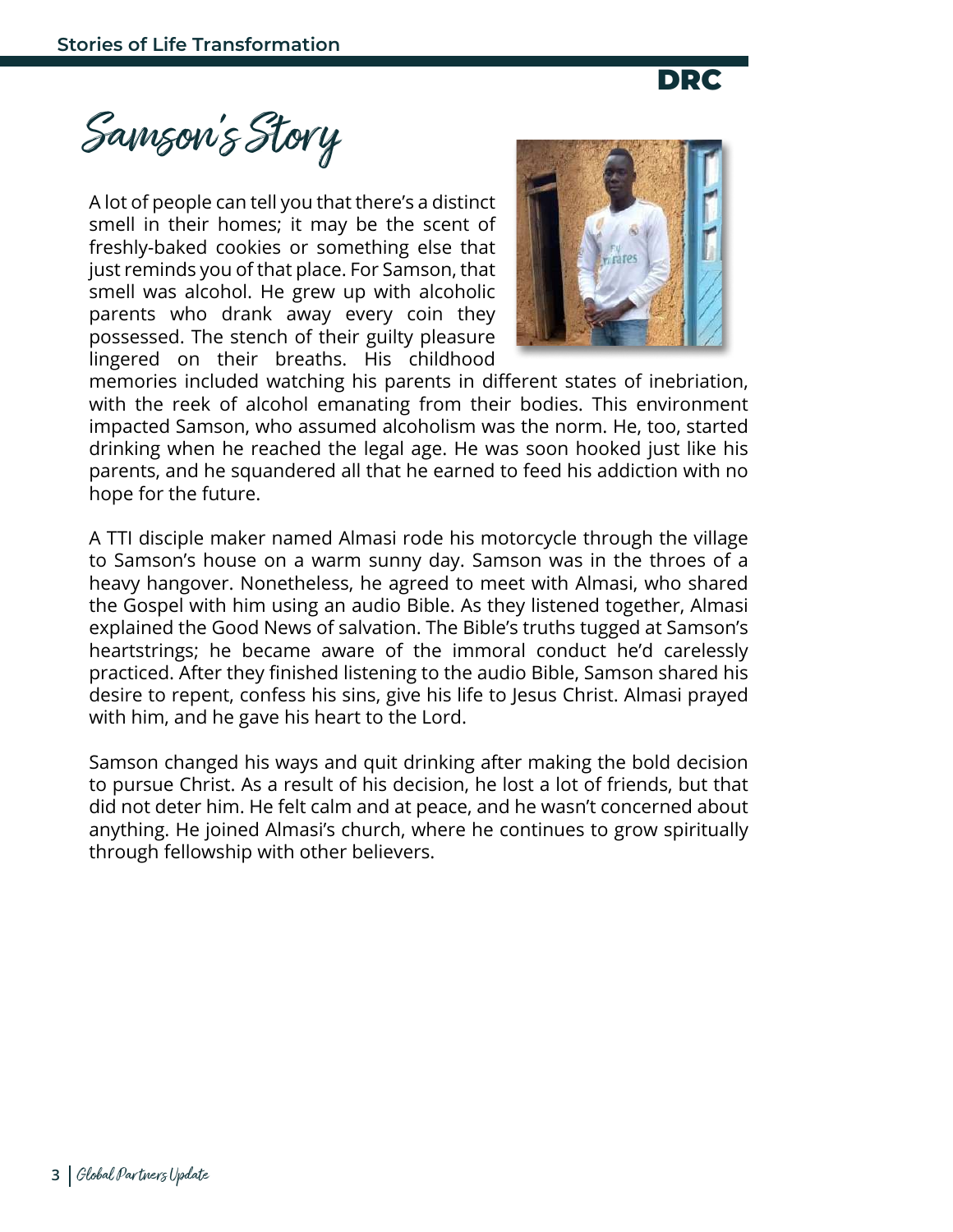DRC

Samson's Story

A lot of people can tell you that there's a distinct smell in their homes; it may be the scent of freshly-baked cookies or something else that just reminds you of that place. For Samson, that smell was alcohol. He grew up with alcoholic parents who drank away every coin they possessed. The stench of their guilty pleasure lingered on their breaths. His childhood



memories included watching his parents in different states of inebriation, with the reek of alcohol emanating from their bodies. This environment impacted Samson, who assumed alcoholism was the norm. He, too, started drinking when he reached the legal age. He was soon hooked just like his parents, and he squandered all that he earned to feed his addiction with no hope for the future.

A TTI disciple maker named Almasi rode his motorcycle through the village to Samson's house on a warm sunny day. Samson was in the throes of a heavy hangover. Nonetheless, he agreed to meet with Almasi, who shared the Gospel with him using an audio Bible. As they listened together, Almasi explained the Good News of salvation. The Bible's truths tugged at Samson's heartstrings; he became aware of the immoral conduct he'd carelessly practiced. After they finished listening to the audio Bible, Samson shared his desire to repent, confess his sins, give his life to Jesus Christ. Almasi prayed with him, and he gave his heart to the Lord.

Samson changed his ways and quit drinking after making the bold decision to pursue Christ. As a result of his decision, he lost a lot of friends, but that did not deter him. He felt calm and at peace, and he wasn't concerned about anything. He joined Almasi's church, where he continues to grow spiritually through fellowship with other believers.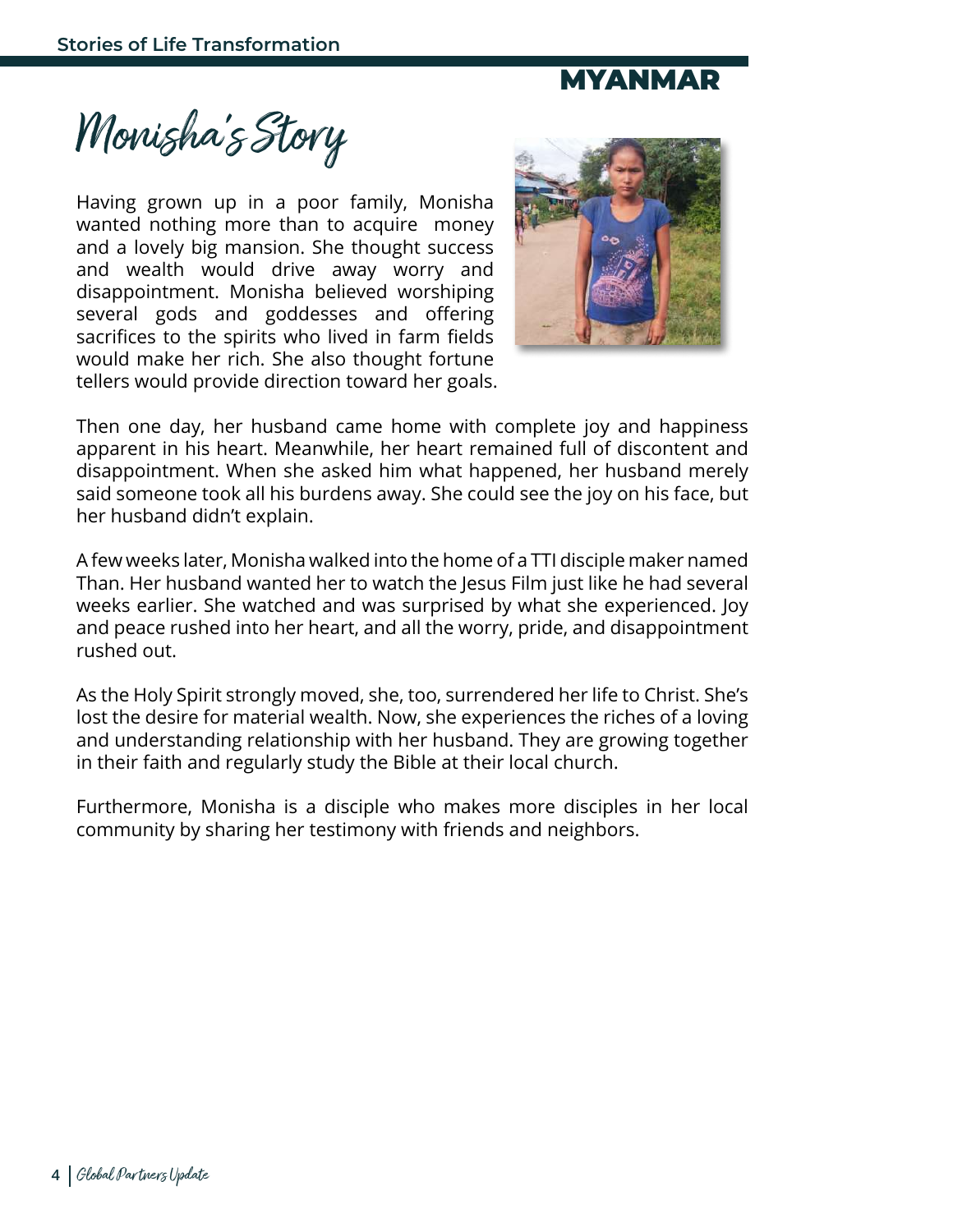## MYANMAR

Monisha's Story

Having grown up in a poor family, Monisha wanted nothing more than to acquire money and a lovely big mansion. She thought success and wealth would drive away worry and disappointment. Monisha believed worshiping several gods and goddesses and offering sacrifices to the spirits who lived in farm fields would make her rich. She also thought fortune tellers would provide direction toward her goals.



Then one day, her husband came home with complete joy and happiness apparent in his heart. Meanwhile, her heart remained full of discontent and disappointment. When she asked him what happened, her husband merely said someone took all his burdens away. She could see the joy on his face, but her husband didn't explain.

A few weeks later, Monisha walked into the home of a TTI disciple maker named Than. Her husband wanted her to watch the Jesus Film just like he had several weeks earlier. She watched and was surprised by what she experienced. Joy and peace rushed into her heart, and all the worry, pride, and disappointment rushed out.

As the Holy Spirit strongly moved, she, too, surrendered her life to Christ. She's lost the desire for material wealth. Now, she experiences the riches of a loving and understanding relationship with her husband. They are growing together in their faith and regularly study the Bible at their local church.

Furthermore, Monisha is a disciple who makes more disciples in her local community by sharing her testimony with friends and neighbors.